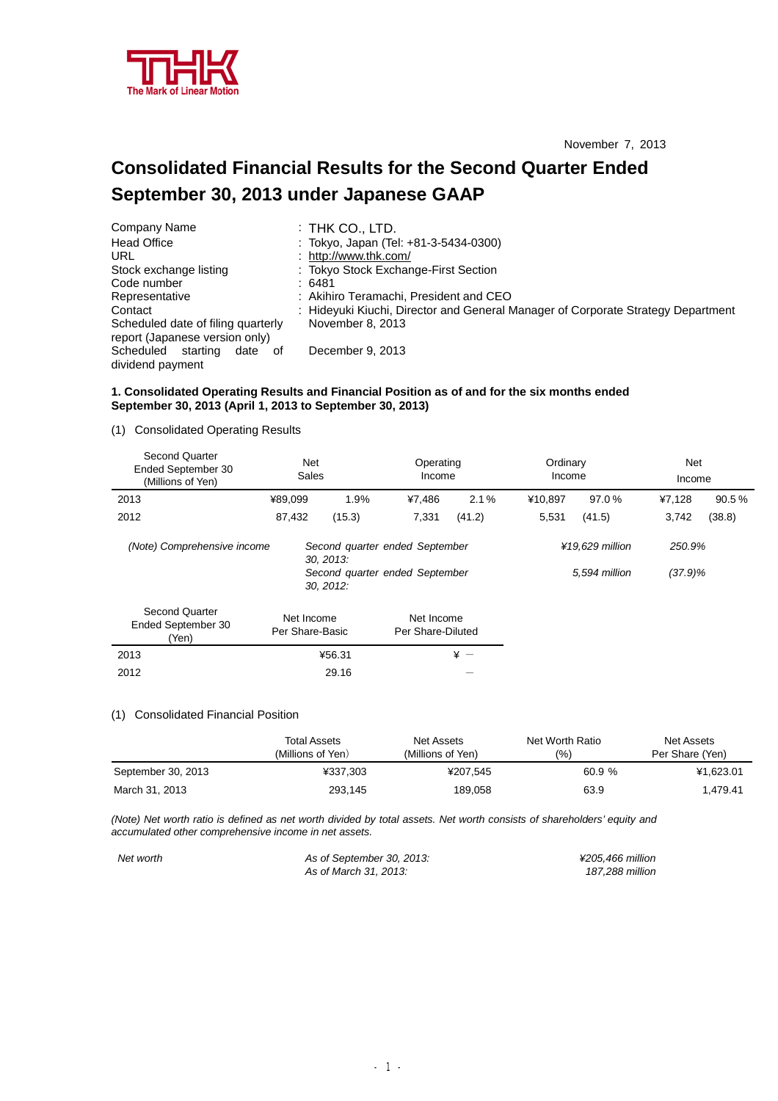

# **Consolidated Financial Results for the Second Quarter Ended September 30, 2013 under Japanese GAAP**

| Company Name                       | $:$ THK CO., LTD.                                                                |
|------------------------------------|----------------------------------------------------------------------------------|
| <b>Head Office</b>                 | : Tokyo, Japan (Tel: +81-3-5434-0300)                                            |
| URL                                | : http://www.thk.com/                                                            |
| Stock exchange listing             | : Tokyo Stock Exchange-First Section                                             |
| Code number                        | :6481                                                                            |
| Representative                     | : Akihiro Teramachi, President and CEO                                           |
| Contact                            | : Hideyuki Kiuchi, Director and General Manager of Corporate Strategy Department |
| Scheduled date of filing quarterly | November 8, 2013                                                                 |
| report (Japanese version only)     |                                                                                  |
| Scheduled<br>starting<br>date of   | December 9, 2013                                                                 |
| dividend payment                   |                                                                                  |

## **1. Consolidated Operating Results and Financial Position as of and for the six months ended September 30, 2013 (April 1, 2013 to September 30, 2013)**

## (1) Consolidated Operating Results

| Second Quarter<br>Ended September 30<br>(Millions of Yen) | <b>Net</b><br><b>Sales</b>                 | Operating<br>Income                                              |        | Ordinary<br>Income |                                  | Net<br>Income        |        |
|-----------------------------------------------------------|--------------------------------------------|------------------------------------------------------------------|--------|--------------------|----------------------------------|----------------------|--------|
| 2013                                                      | ¥89,099                                    | 1.9%<br>¥7,486                                                   | 2.1%   | ¥10.897            | 97.0%                            | ¥7,128               | 90.5%  |
| 2012                                                      | 87,432                                     | (15.3)<br>7,331                                                  | (41.2) | 5,531              | (41.5)                           | 3,742                | (38.8) |
| (Note) Comprehensive income                               | 30, 2013:                                  | Second quarter ended September<br>Second quarter ended September |        |                    | ¥19,629 million<br>5,594 million | 250.9%<br>$(37.9)\%$ |        |
| <b>Second Quarter</b><br>Ended September 30<br>(Yen)      | 30, 2012:<br>Net Income<br>Per Share-Basic | Net Income<br>Per Share-Diluted                                  |        |                    |                                  |                      |        |
| 2013                                                      | ¥56.31                                     |                                                                  | $* -$  |                    |                                  |                      |        |
| 2012                                                      | 29.16                                      |                                                                  |        |                    |                                  |                      |        |

#### (1) Consolidated Financial Position

|                    | <b>Total Assets</b><br>(Millions of Yen) | Net Assets<br>(Millions of Yen) | Net Worth Ratio<br>$\frac{(9/6)}{2}$ | Net Assets<br>Per Share (Yen) |
|--------------------|------------------------------------------|---------------------------------|--------------------------------------|-------------------------------|
| September 30, 2013 | ¥337.303                                 | ¥207.545                        | 60.9 %                               | ¥1.623.01                     |
| March 31, 2013     | 293,145                                  | 189,058                         | 63.9                                 | 1.479.41                      |

(Note) Net worth ratio is defined as net worth divided by total assets. Net worth consists of shareholders' equity and *accumulated other comprehensive income in net assets.* 

*Net worth As of September 30, 2013: ¥205,466 million As* of *March* 31, 2013: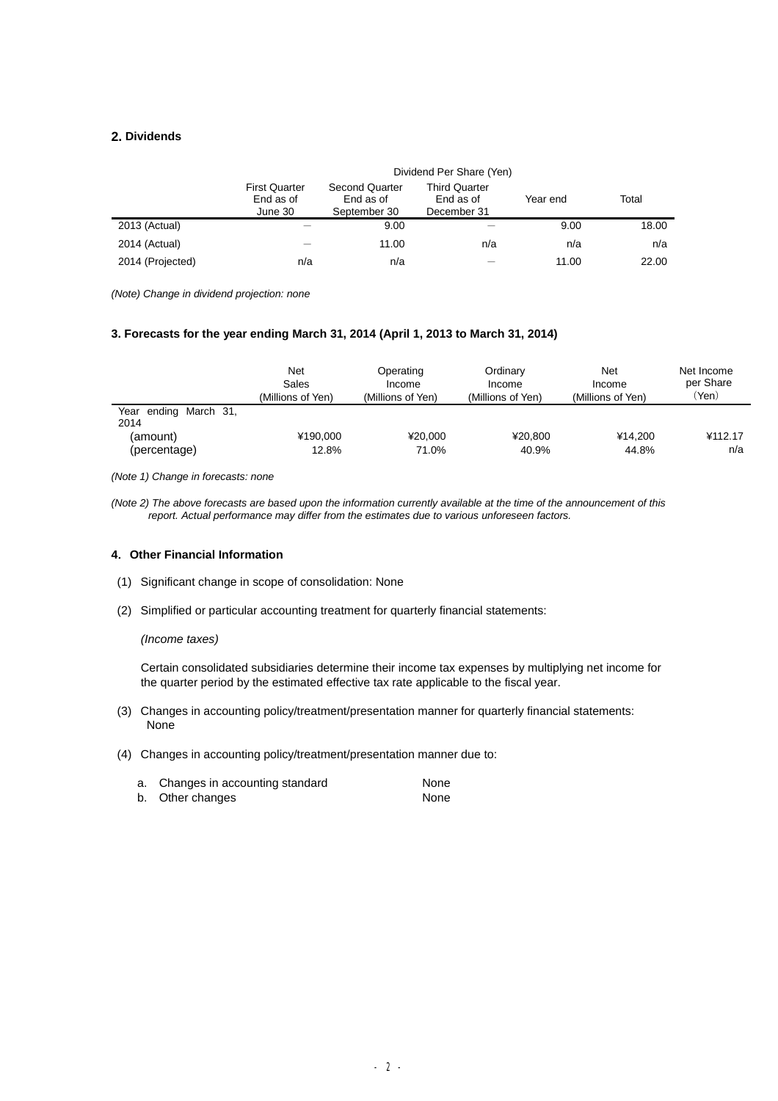# **2. Dividends**

|                  |                                              | Dividend Per Share (Yen)                           |                                                  |          |       |
|------------------|----------------------------------------------|----------------------------------------------------|--------------------------------------------------|----------|-------|
|                  | <b>First Quarter</b><br>End as of<br>June 30 | <b>Second Quarter</b><br>End as of<br>September 30 | <b>Third Quarter</b><br>End as of<br>December 31 | Year end | Total |
| 2013 (Actual)    |                                              | 9.00                                               |                                                  | 9.00     | 18.00 |
| 2014 (Actual)    |                                              | 11.00                                              | n/a                                              | n/a      | n/a   |
| 2014 (Projected) | n/a                                          | n/a                                                |                                                  | 11.00    | 22.00 |

*(Note) Change in dividend projection: none* 

#### **3. Forecasts for the year ending March 31, 2014 (April 1, 2013 to March 31, 2014)**

|                               | Net<br>Sales<br>(Millions of Yen) | Operating<br>Income<br>(Millions of Yen) | Ordinary<br>Income<br>(Millions of Yen) | Net<br>Income<br>(Millions of Yen) | Net Income<br>per Share<br>'Yen) |
|-------------------------------|-----------------------------------|------------------------------------------|-----------------------------------------|------------------------------------|----------------------------------|
| Year ending March 31,<br>2014 |                                   |                                          |                                         |                                    |                                  |
| (amount)                      | ¥190,000                          | ¥20.000                                  | ¥20.800                                 | ¥14.200                            | ¥112.17                          |
| (percentage)                  | 12.8%                             | 71.0%                                    | 40.9%                                   | 44.8%                              | n/a                              |

*(Note 1) Change in forecasts: none* 

(Note 2) The above forecasts are based upon the information currently available at the time of the announcement of this *report. Actual performance may differ from the estimates due to various unforeseen factors.* 

## **4.Other Financial Information**

- (1) Significant change in scope of consolidation: None
- (2) Simplified or particular accounting treatment for quarterly financial statements:

### *(Income taxes)*

Certain consolidated subsidiaries determine their income tax expenses by multiplying net income for the quarter period by the estimated effective tax rate applicable to the fiscal year.

- (3) Changes in accounting policy/treatment/presentation manner for quarterly financial statements: None
- (4) Changes in accounting policy/treatment/presentation manner due to:

| a. Changes in accounting standard | None |
|-----------------------------------|------|
| b. Other changes                  | None |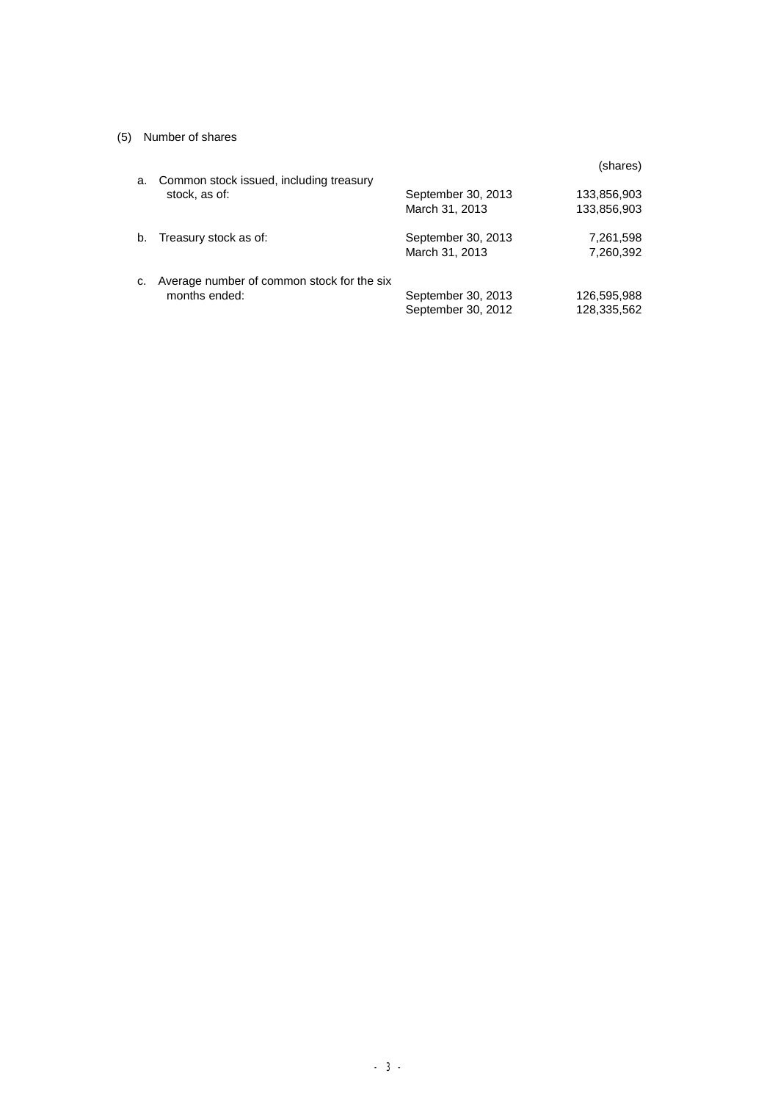# (5) Number of shares

| a. | Common stock issued, including treasury                     |                                          | (shares)                   |
|----|-------------------------------------------------------------|------------------------------------------|----------------------------|
|    | stock, as of:                                               | September 30, 2013<br>March 31, 2013     | 133,856,903<br>133,856,903 |
| b. | Treasury stock as of:                                       | September 30, 2013<br>March 31, 2013     | 7,261,598<br>7,260,392     |
| c. | Average number of common stock for the six<br>months ended: | September 30, 2013<br>September 30, 2012 | 126,595,988<br>128,335,562 |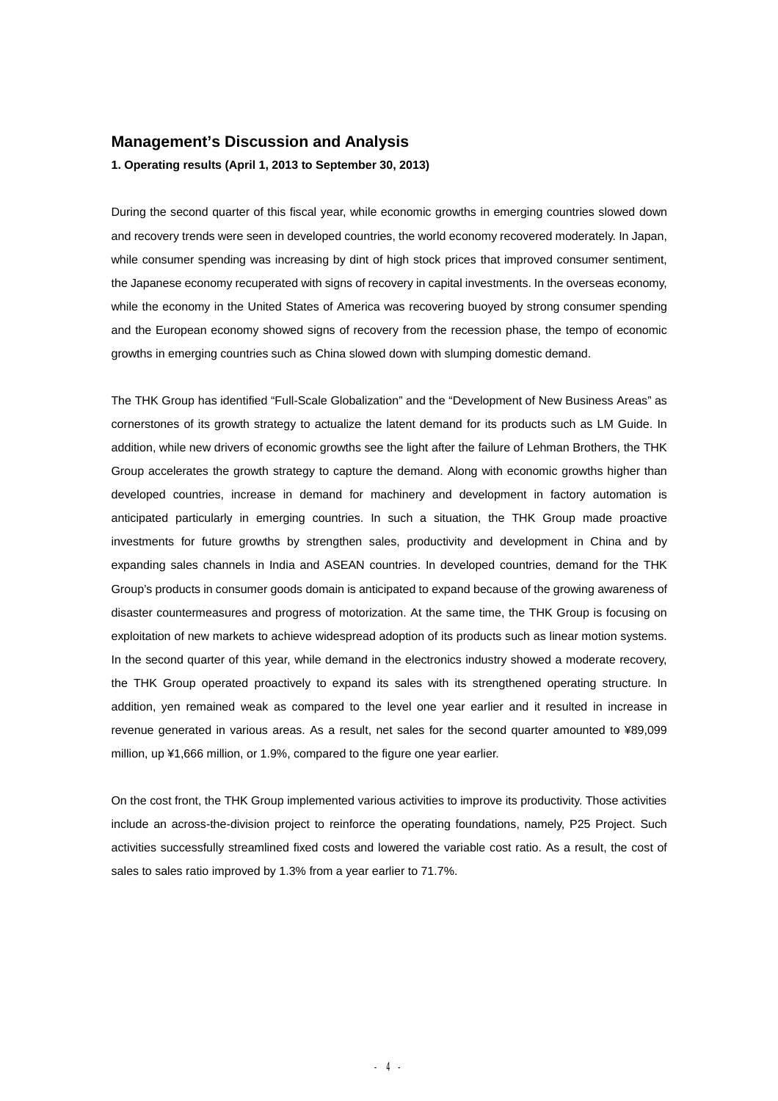# **Management's Discussion and Analysis**

**1. Operating results (April 1, 2013 to September 30, 2013)** 

During the second quarter of this fiscal year, while economic growths in emerging countries slowed down and recovery trends were seen in developed countries, the world economy recovered moderately. In Japan, while consumer spending was increasing by dint of high stock prices that improved consumer sentiment, the Japanese economy recuperated with signs of recovery in capital investments. In the overseas economy, while the economy in the United States of America was recovering buoyed by strong consumer spending and the European economy showed signs of recovery from the recession phase, the tempo of economic growths in emerging countries such as China slowed down with slumping domestic demand.

The THK Group has identified "Full-Scale Globalization" and the "Development of New Business Areas" as cornerstones of its growth strategy to actualize the latent demand for its products such as LM Guide. In addition, while new drivers of economic growths see the light after the failure of Lehman Brothers, the THK Group accelerates the growth strategy to capture the demand. Along with economic growths higher than developed countries, increase in demand for machinery and development in factory automation is anticipated particularly in emerging countries. In such a situation, the THK Group made proactive investments for future growths by strengthen sales, productivity and development in China and by expanding sales channels in India and ASEAN countries. In developed countries, demand for the THK Group's products in consumer goods domain is anticipated to expand because of the growing awareness of disaster countermeasures and progress of motorization. At the same time, the THK Group is focusing on exploitation of new markets to achieve widespread adoption of its products such as linear motion systems. In the second quarter of this year, while demand in the electronics industry showed a moderate recovery, the THK Group operated proactively to expand its sales with its strengthened operating structure. In addition, yen remained weak as compared to the level one year earlier and it resulted in increase in revenue generated in various areas. As a result, net sales for the second quarter amounted to ¥89,099 million, up ¥1,666 million, or 1.9%, compared to the figure one year earlier.

On the cost front, the THK Group implemented various activities to improve its productivity. Those activities include an across-the-division project to reinforce the operating foundations, namely, P25 Project. Such activities successfully streamlined fixed costs and lowered the variable cost ratio. As a result, the cost of sales to sales ratio improved by 1.3% from a year earlier to 71.7%.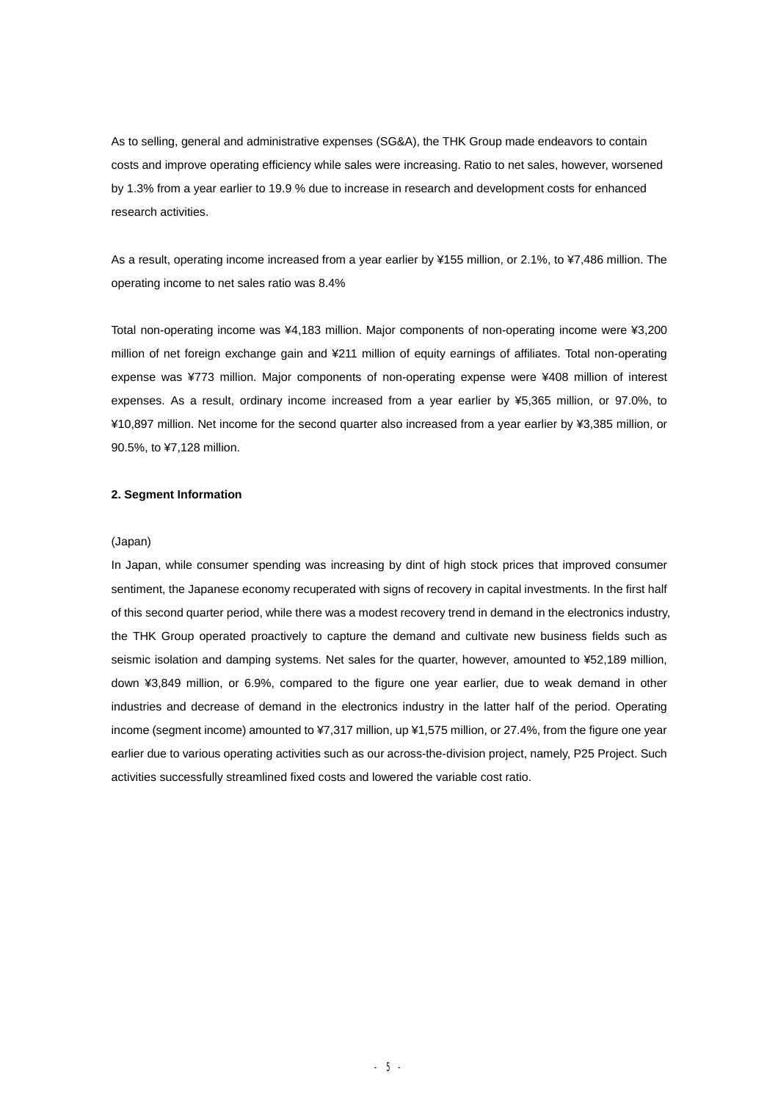As to selling, general and administrative expenses (SG&A), the THK Group made endeavors to contain costs and improve operating efficiency while sales were increasing. Ratio to net sales, however, worsened by 1.3% from a year earlier to 19.9 % due to increase in research and development costs for enhanced research activities.

As a result, operating income increased from a year earlier by ¥155 million, or 2.1%, to ¥7,486 million. The operating income to net sales ratio was 8.4%

Total non-operating income was ¥4,183 million. Major components of non-operating income were ¥3,200 million of net foreign exchange gain and ¥211 million of equity earnings of affiliates. Total non-operating expense was ¥773 million. Major components of non-operating expense were ¥408 million of interest expenses. As a result, ordinary income increased from a year earlier by ¥5,365 million, or 97.0%, to ¥10,897 million. Net income for the second quarter also increased from a year earlier by ¥3,385 million, or 90.5%, to ¥7,128 million.

#### **2. Segment Information**

#### (Japan)

In Japan, while consumer spending was increasing by dint of high stock prices that improved consumer sentiment, the Japanese economy recuperated with signs of recovery in capital investments. In the first half of this second quarter period, while there was a modest recovery trend in demand in the electronics industry, the THK Group operated proactively to capture the demand and cultivate new business fields such as seismic isolation and damping systems. Net sales for the quarter, however, amounted to ¥52,189 million, down ¥3,849 million, or 6.9%, compared to the figure one year earlier, due to weak demand in other industries and decrease of demand in the electronics industry in the latter half of the period. Operating income (segment income) amounted to ¥7,317 million, up ¥1,575 million, or 27.4%, from the figure one year earlier due to various operating activities such as our across-the-division project, namely, P25 Project. Such activities successfully streamlined fixed costs and lowered the variable cost ratio.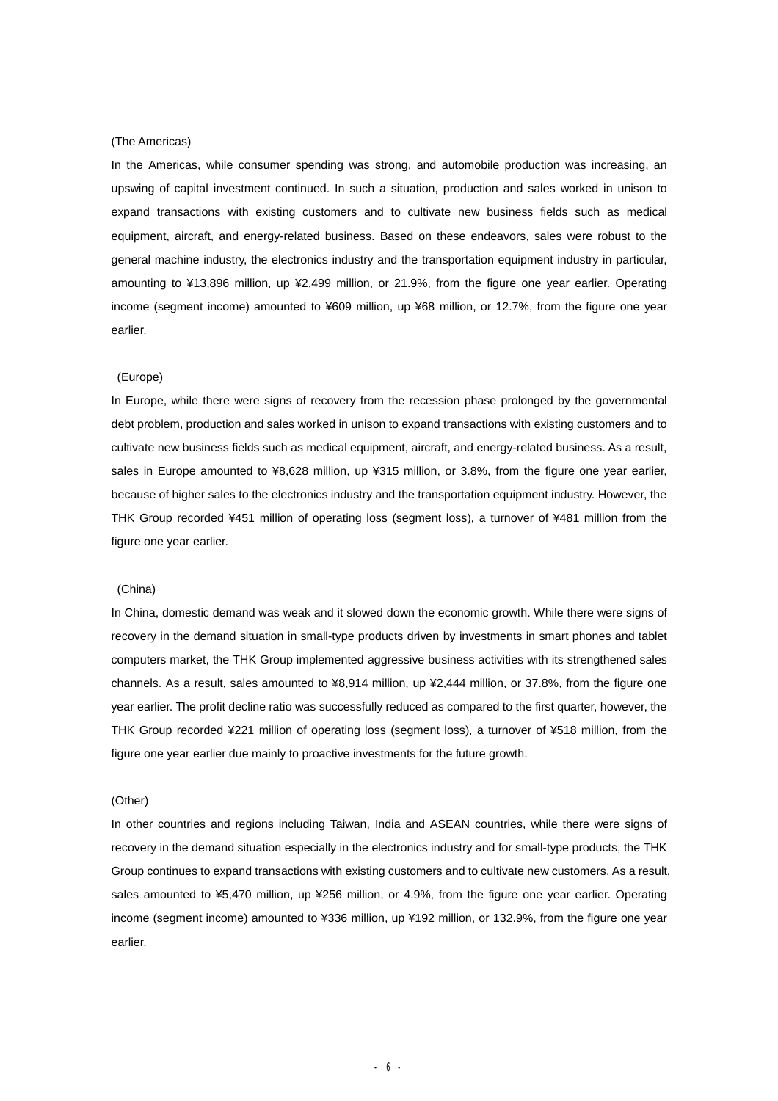#### (The Americas)

In the Americas, while consumer spending was strong, and automobile production was increasing, an upswing of capital investment continued. In such a situation, production and sales worked in unison to expand transactions with existing customers and to cultivate new business fields such as medical equipment, aircraft, and energy-related business. Based on these endeavors, sales were robust to the general machine industry, the electronics industry and the transportation equipment industry in particular, amounting to ¥13,896 million, up ¥2,499 million, or 21.9%, from the figure one year earlier. Operating income (segment income) amounted to ¥609 million, up ¥68 million, or 12.7%, from the figure one year earlier.

#### (Europe)

In Europe, while there were signs of recovery from the recession phase prolonged by the governmental debt problem, production and sales worked in unison to expand transactions with existing customers and to cultivate new business fields such as medical equipment, aircraft, and energy-related business. As a result, sales in Europe amounted to ¥8,628 million, up ¥315 million, or 3.8%, from the figure one year earlier, because of higher sales to the electronics industry and the transportation equipment industry. However, the THK Group recorded ¥451 million of operating loss (segment loss), a turnover of ¥481 million from the figure one year earlier.

#### (China)

In China, domestic demand was weak and it slowed down the economic growth. While there were signs of recovery in the demand situation in small-type products driven by investments in smart phones and tablet computers market, the THK Group implemented aggressive business activities with its strengthened sales channels. As a result, sales amounted to ¥8,914 million, up ¥2,444 million, or 37.8%, from the figure one year earlier. The profit decline ratio was successfully reduced as compared to the first quarter, however, the THK Group recorded ¥221 million of operating loss (segment loss), a turnover of ¥518 million, from the figure one year earlier due mainly to proactive investments for the future growth.

#### (Other)

In other countries and regions including Taiwan, India and ASEAN countries, while there were signs of recovery in the demand situation especially in the electronics industry and for small-type products, the THK Group continues to expand transactions with existing customers and to cultivate new customers. As a result, sales amounted to ¥5,470 million, up ¥256 million, or 4.9%, from the figure one year earlier. Operating income (segment income) amounted to ¥336 million, up ¥192 million, or 132.9%, from the figure one year earlier.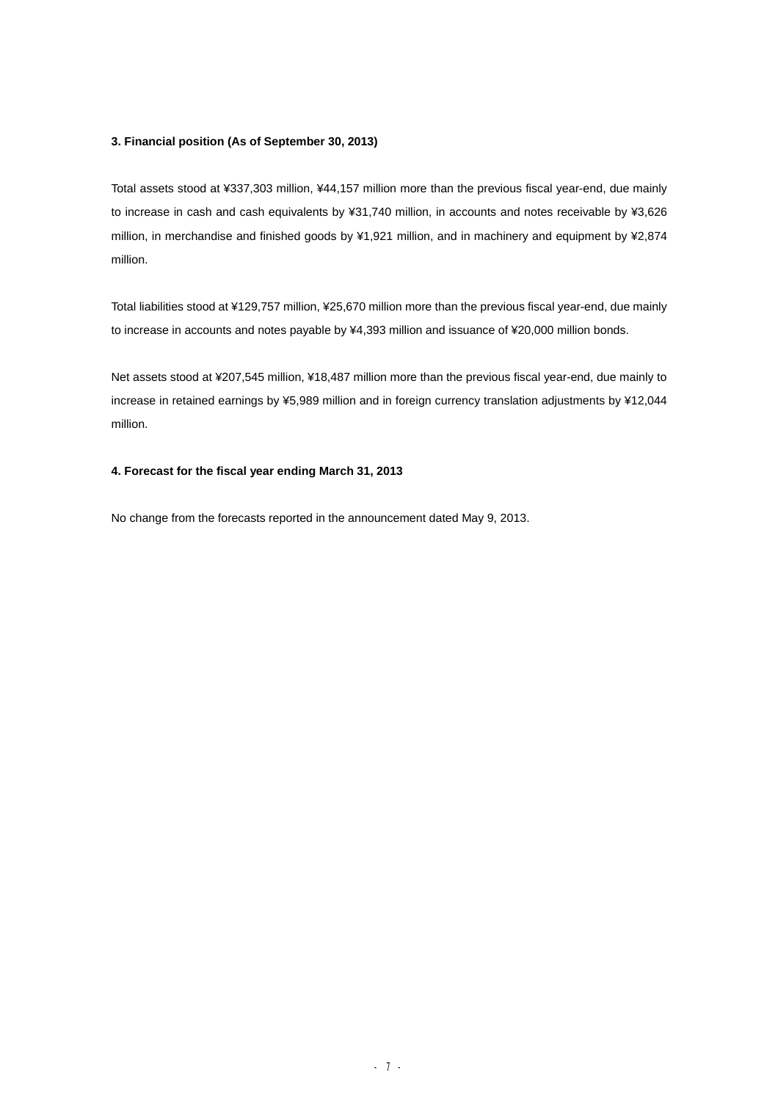# **3. Financial position (As of September 30, 2013)**

Total assets stood at ¥337,303 million, ¥44,157 million more than the previous fiscal year-end, due mainly to increase in cash and cash equivalents by ¥31,740 million, in accounts and notes receivable by ¥3,626 million, in merchandise and finished goods by ¥1,921 million, and in machinery and equipment by ¥2,874 million.

Total liabilities stood at ¥129,757 million, ¥25,670 million more than the previous fiscal year-end, due mainly to increase in accounts and notes payable by ¥4,393 million and issuance of ¥20,000 million bonds.

Net assets stood at ¥207,545 million, ¥18,487 million more than the previous fiscal year-end, due mainly to increase in retained earnings by ¥5,989 million and in foreign currency translation adjustments by ¥12,044 million.

# **4. Forecast for the fiscal year ending March 31, 2013**

No change from the forecasts reported in the announcement dated May 9, 2013.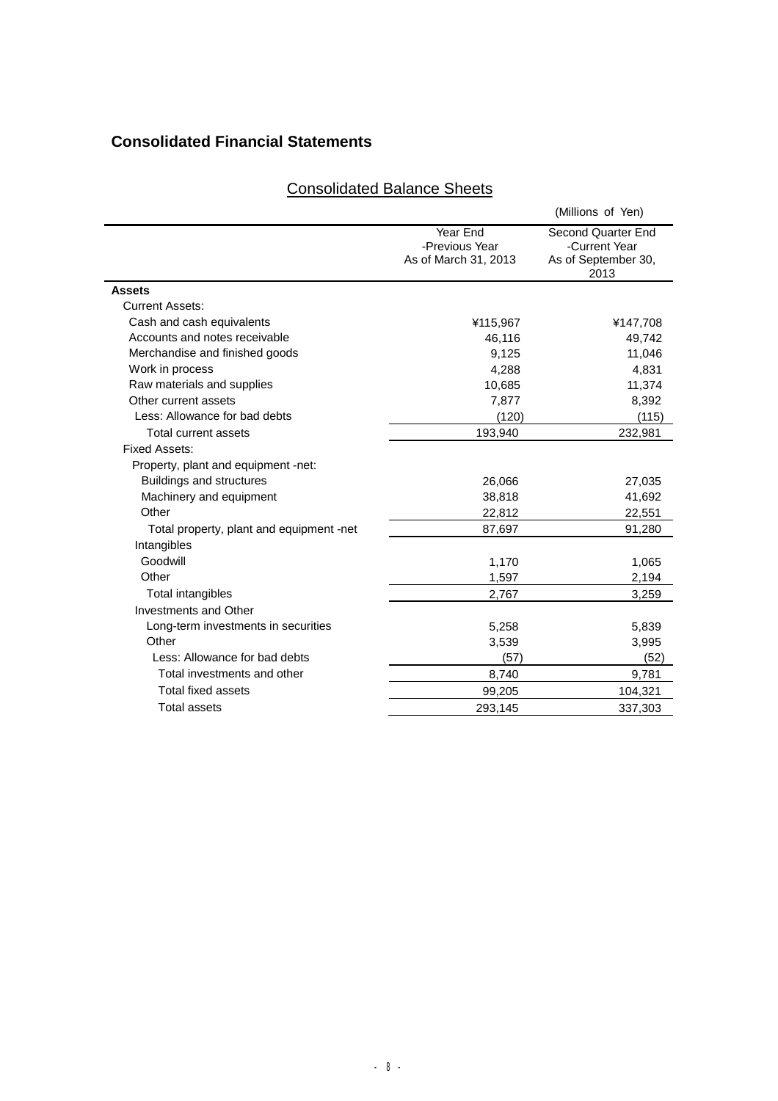# **Consolidated Financial Statements**

# (Millions of Yen) Year End -Previous Year Second Quarter End -Current Year As of March 31, 2013 As of September 30, 2013 **Assets**  Current Assets: Cash and cash equivalents **ACCO** X 415,967 **4115,967** 4147,708 Accounts and notes receivable 46,116 49,742 Merchandise and finished goods 8,125 9,125 11,046 Work in process and the set of the set of the set of the set of the set of the set of the set of the set of the set of the set of the set of the set of the set of the set of the set of the set of the set of the set of the Raw materials and supplies 10.685 11,374 Other current assets 8,392 Less: Allowance for bad debts (120) (115) Total current assets 193,940 232,981 Fixed Assets: Property, plant and equipment -net: Buildings and structures 26,066 27,035 Machinery and equipment 38,818 41,692 Other 22,812 22,551 22,651 Total property, plant and equipment -net 87,697 87,697 91,280 Intangibles Goodwill 1,170 1,065 Other 2,194 Total intangibles 3,259 Investments and Other Long-term investments in securities 6,839 5,839 Other 3,539 3,995 Less: Allowance for bad debts (57) (52) Total investments and other **8,740** 8,740 9,781 Total fixed assets 99,205 104,321 Total assets 293,145 337,303

# Consolidated Balance Sheets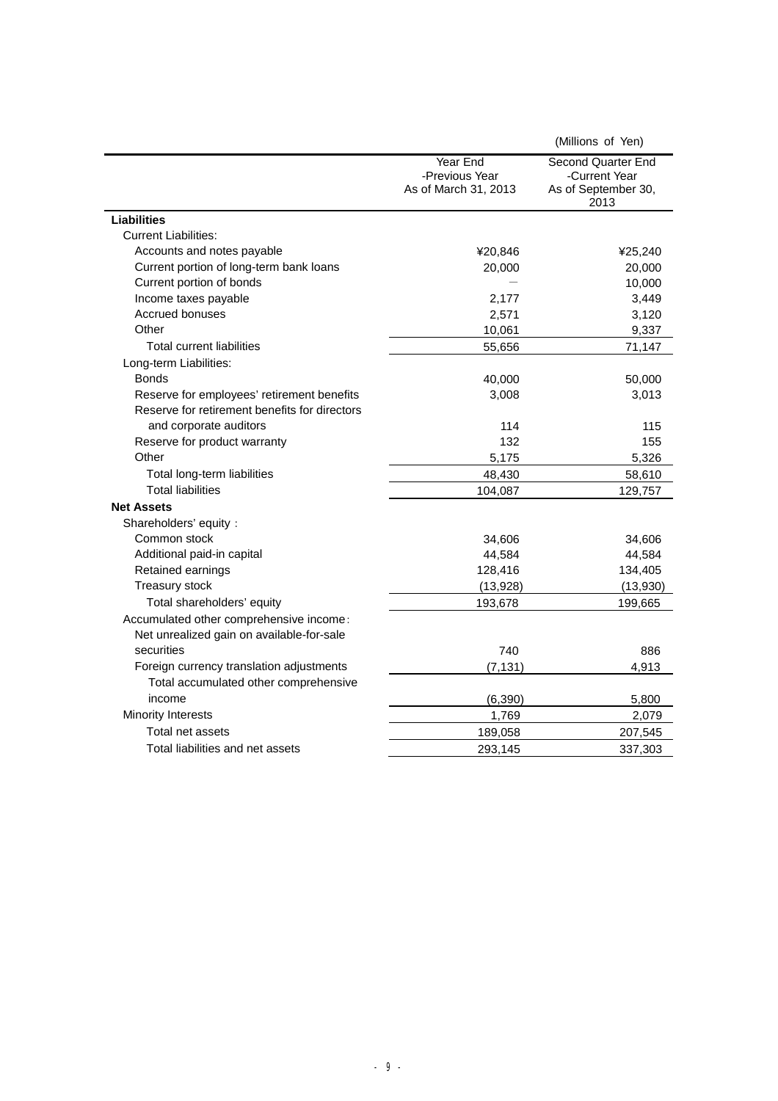|                                               |                                                    | (Millions of Yen)                                                  |
|-----------------------------------------------|----------------------------------------------------|--------------------------------------------------------------------|
|                                               | Year End<br>-Previous Year<br>As of March 31, 2013 | Second Quarter End<br>-Current Year<br>As of September 30,<br>2013 |
| <b>Liabilities</b>                            |                                                    |                                                                    |
| <b>Current Liabilities:</b>                   |                                                    |                                                                    |
| Accounts and notes payable                    | ¥20,846                                            | ¥25,240                                                            |
| Current portion of long-term bank loans       | 20,000                                             | 20,000                                                             |
| Current portion of bonds                      |                                                    | 10,000                                                             |
| Income taxes payable                          | 2,177                                              | 3,449                                                              |
| Accrued bonuses                               | 2,571                                              | 3,120                                                              |
| Other                                         | 10,061                                             | 9,337                                                              |
| <b>Total current liabilities</b>              | 55,656                                             | 71,147                                                             |
| Long-term Liabilities:                        |                                                    |                                                                    |
| <b>Bonds</b>                                  | 40,000                                             | 50,000                                                             |
| Reserve for employees' retirement benefits    | 3,008                                              | 3,013                                                              |
| Reserve for retirement benefits for directors |                                                    |                                                                    |
| and corporate auditors                        | 114                                                | 115                                                                |
| Reserve for product warranty                  | 132                                                | 155                                                                |
| Other                                         | 5,175                                              | 5,326                                                              |
| Total long-term liabilities                   | 48,430                                             | 58,610                                                             |
| <b>Total liabilities</b>                      | 104,087                                            | 129,757                                                            |
| <b>Net Assets</b>                             |                                                    |                                                                    |
| Shareholders' equity :                        |                                                    |                                                                    |
| Common stock                                  | 34,606                                             | 34,606                                                             |
| Additional paid-in capital                    | 44,584                                             | 44,584                                                             |
| Retained earnings                             | 128,416                                            | 134,405                                                            |
| Treasury stock                                | (13, 928)                                          | (13,930)                                                           |
| Total shareholders' equity                    | 193,678                                            | 199,665                                                            |
| Accumulated other comprehensive income:       |                                                    |                                                                    |
| Net unrealized gain on available-for-sale     |                                                    |                                                                    |
| securities                                    | 740                                                | 886                                                                |
| Foreign currency translation adjustments      | (7, 131)                                           | 4,913                                                              |
| Total accumulated other comprehensive         |                                                    |                                                                    |
| income                                        | (6, 390)                                           | 5,800                                                              |
| <b>Minority Interests</b>                     | 1,769                                              | 2,079                                                              |
| Total net assets                              | 189,058                                            | 207,545                                                            |
| Total liabilities and net assets              | 293,145                                            | 337.303                                                            |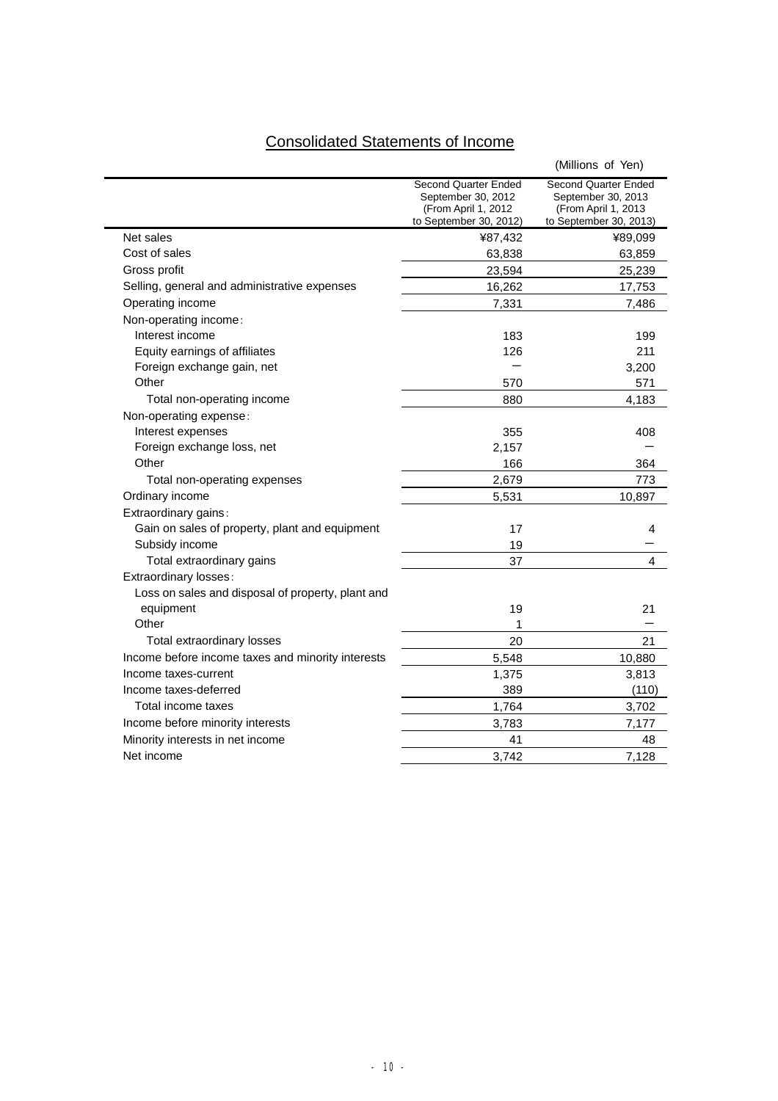# Consolidated Statements of Income

|                                                   |                                                                                              | (Millions of Yen)                                                                           |
|---------------------------------------------------|----------------------------------------------------------------------------------------------|---------------------------------------------------------------------------------------------|
|                                                   | Second Quarter Ended<br>September 30, 2012<br>(From April 1, 2012)<br>to September 30, 2012) | Second Quarter Ended<br>September 30, 2013<br>(From April 1, 2013<br>to September 30, 2013) |
| Net sales                                         | ¥87,432                                                                                      | ¥89,099                                                                                     |
| Cost of sales                                     | 63,838                                                                                       | 63,859                                                                                      |
| Gross profit                                      | 23,594                                                                                       | 25,239                                                                                      |
| Selling, general and administrative expenses      | 16,262                                                                                       | 17,753                                                                                      |
| Operating income                                  | 7,331                                                                                        | 7,486                                                                                       |
| Non-operating income:                             |                                                                                              |                                                                                             |
| Interest income                                   | 183                                                                                          | 199                                                                                         |
| Equity earnings of affiliates                     | 126                                                                                          | 211                                                                                         |
| Foreign exchange gain, net                        |                                                                                              | 3,200                                                                                       |
| Other                                             | 570                                                                                          | 571                                                                                         |
| Total non-operating income                        | 880                                                                                          | 4,183                                                                                       |
| Non-operating expense:                            |                                                                                              |                                                                                             |
| Interest expenses                                 | 355                                                                                          | 408                                                                                         |
| Foreign exchange loss, net                        | 2,157                                                                                        |                                                                                             |
| Other                                             | 166                                                                                          | 364                                                                                         |
| Total non-operating expenses                      | 2,679                                                                                        | 773                                                                                         |
| Ordinary income                                   | 5,531                                                                                        | 10,897                                                                                      |
| Extraordinary gains:                              |                                                                                              |                                                                                             |
| Gain on sales of property, plant and equipment    | 17                                                                                           | 4                                                                                           |
| Subsidy income                                    | 19                                                                                           |                                                                                             |
| Total extraordinary gains                         | 37                                                                                           | 4                                                                                           |
| Extraordinary losses:                             |                                                                                              |                                                                                             |
| Loss on sales and disposal of property, plant and |                                                                                              |                                                                                             |
| equipment                                         | 19                                                                                           | 21                                                                                          |
| Other                                             | 1                                                                                            |                                                                                             |
| Total extraordinary losses                        | 20                                                                                           | 21                                                                                          |
| Income before income taxes and minority interests | 5,548                                                                                        | 10,880                                                                                      |
| Income taxes-current                              | 1,375                                                                                        | 3,813                                                                                       |
| Income taxes-deferred                             | 389                                                                                          | (110)                                                                                       |
| Total income taxes                                | 1,764                                                                                        | 3,702                                                                                       |
| Income before minority interests                  | 3,783                                                                                        | 7,177                                                                                       |
| Minority interests in net income                  | 41                                                                                           | 48                                                                                          |
| Net income                                        | 3.742                                                                                        | 7,128                                                                                       |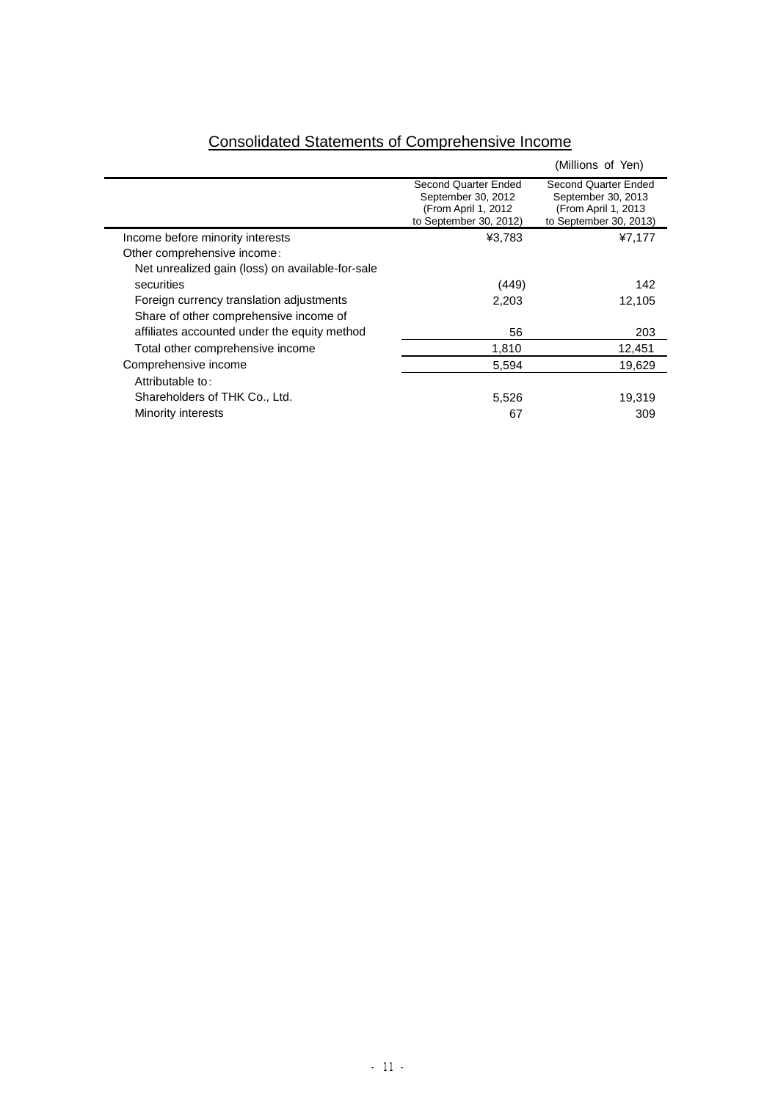|                                                                                    |                                                                                              | (Millions of Yen)                                                                            |
|------------------------------------------------------------------------------------|----------------------------------------------------------------------------------------------|----------------------------------------------------------------------------------------------|
|                                                                                    | Second Quarter Ended<br>September 30, 2012<br>(From April 1, 2012)<br>to September 30, 2012) | Second Quarter Ended<br>September 30, 2013<br>(From April 1, 2013)<br>to September 30, 2013) |
| Income before minority interests                                                   | ¥3,783                                                                                       | ¥7,177                                                                                       |
| Other comprehensive income:                                                        |                                                                                              |                                                                                              |
| Net unrealized gain (loss) on available-for-sale                                   |                                                                                              |                                                                                              |
| securities                                                                         | (449)                                                                                        | 142                                                                                          |
| Foreign currency translation adjustments<br>Share of other comprehensive income of | 2,203                                                                                        | 12,105                                                                                       |
| affiliates accounted under the equity method                                       | 56                                                                                           | 203                                                                                          |
| Total other comprehensive income                                                   | 1,810                                                                                        | 12,451                                                                                       |
| Comprehensive income                                                               | 5,594                                                                                        | 19,629                                                                                       |
| Attributable to:                                                                   |                                                                                              |                                                                                              |
| Shareholders of THK Co., Ltd.                                                      | 5,526                                                                                        | 19,319                                                                                       |
| Minority interests                                                                 | 67                                                                                           | 309                                                                                          |
|                                                                                    |                                                                                              |                                                                                              |

# Consolidated Statements of Comprehensive Income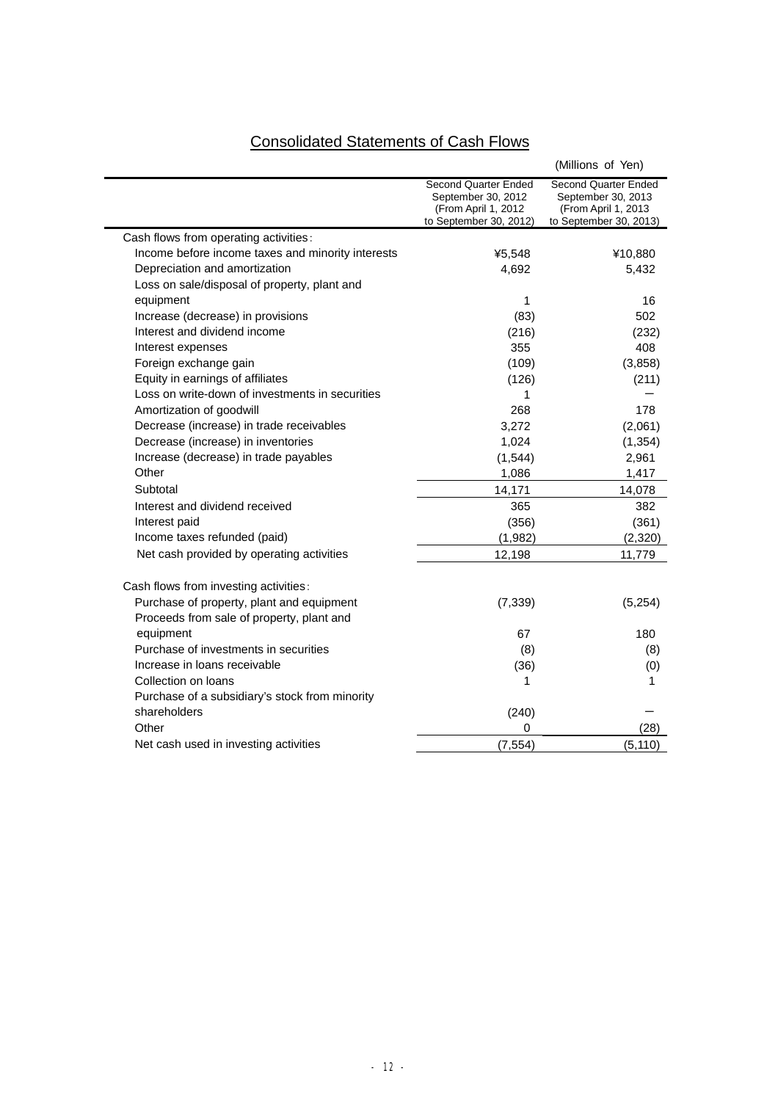# Consolidated Statements of Cash Flows

|                                                   |                                                                                             | (Millions of Yen)                                                                           |
|---------------------------------------------------|---------------------------------------------------------------------------------------------|---------------------------------------------------------------------------------------------|
|                                                   | Second Quarter Ended<br>September 30, 2012<br>(From April 1, 2012<br>to September 30, 2012) | Second Quarter Ended<br>September 30, 2013<br>(From April 1, 2013<br>to September 30, 2013) |
| Cash flows from operating activities:             |                                                                                             |                                                                                             |
| Income before income taxes and minority interests | ¥5,548                                                                                      | ¥10,880                                                                                     |
| Depreciation and amortization                     | 4,692                                                                                       | 5,432                                                                                       |
| Loss on sale/disposal of property, plant and      |                                                                                             |                                                                                             |
| equipment                                         | 1                                                                                           | 16                                                                                          |
| Increase (decrease) in provisions                 | (83)                                                                                        | 502                                                                                         |
| Interest and dividend income                      | (216)                                                                                       | (232)                                                                                       |
| Interest expenses                                 | 355                                                                                         | 408                                                                                         |
| Foreign exchange gain                             | (109)                                                                                       | (3,858)                                                                                     |
| Equity in earnings of affiliates                  | (126)                                                                                       | (211)                                                                                       |
| Loss on write-down of investments in securities   | 1                                                                                           |                                                                                             |
| Amortization of goodwill                          | 268                                                                                         | 178                                                                                         |
| Decrease (increase) in trade receivables          | 3,272                                                                                       | (2,061)                                                                                     |
| Decrease (increase) in inventories                | 1,024                                                                                       | (1, 354)                                                                                    |
| Increase (decrease) in trade payables             | (1,544)                                                                                     | 2,961                                                                                       |
| Other                                             | 1,086                                                                                       | 1,417                                                                                       |
| Subtotal                                          | 14,171                                                                                      | 14,078                                                                                      |
| Interest and dividend received                    | 365                                                                                         | 382                                                                                         |
| Interest paid                                     | (356)                                                                                       | (361)                                                                                       |
| Income taxes refunded (paid)                      | (1,982)                                                                                     | (2,320)                                                                                     |
| Net cash provided by operating activities         | 12,198                                                                                      | 11,779                                                                                      |
| Cash flows from investing activities:             |                                                                                             |                                                                                             |
| Purchase of property, plant and equipment         | (7, 339)                                                                                    | (5,254)                                                                                     |
| Proceeds from sale of property, plant and         |                                                                                             |                                                                                             |
| equipment                                         | 67                                                                                          | 180                                                                                         |
| Purchase of investments in securities             | (8)                                                                                         | (8)                                                                                         |
| Increase in loans receivable                      | (36)                                                                                        | (0)                                                                                         |
| Collection on loans                               | 1                                                                                           | 1                                                                                           |
| Purchase of a subsidiary's stock from minority    |                                                                                             |                                                                                             |
| shareholders                                      | (240)                                                                                       |                                                                                             |
| Other                                             | 0                                                                                           | (28)                                                                                        |
| Net cash used in investing activities             | (7, 554)                                                                                    | (5, 110)                                                                                    |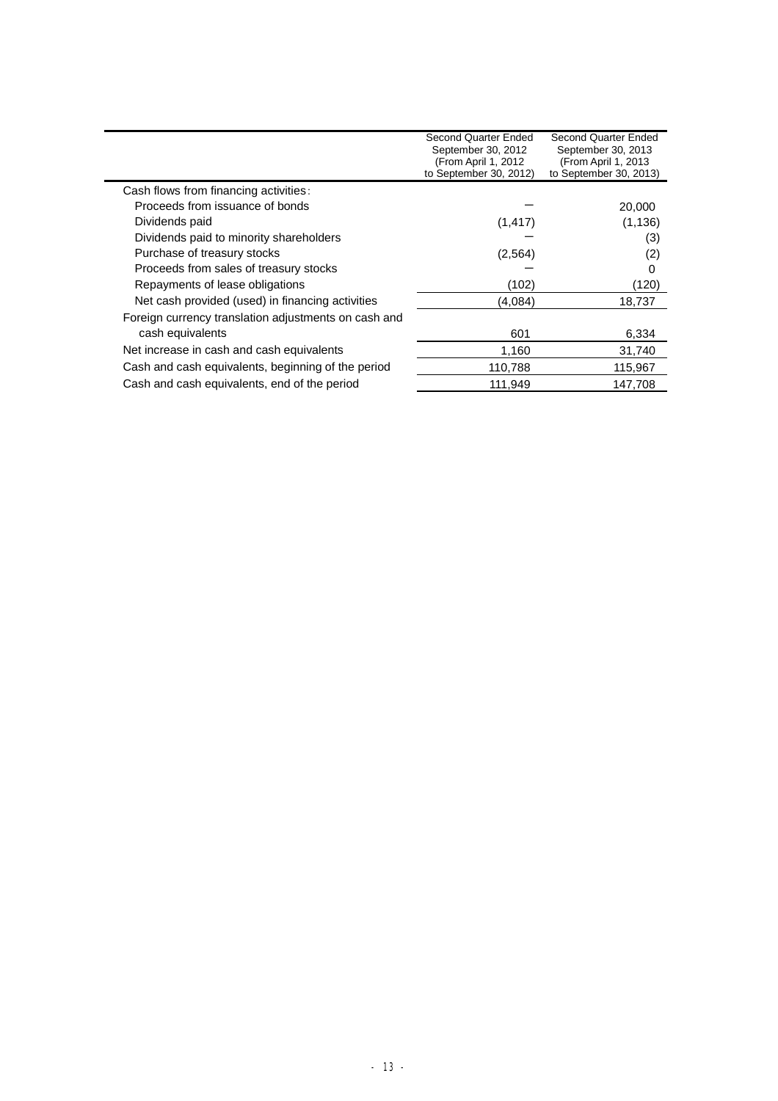|                                                      | Second Quarter Ended<br>September 30, 2012<br>(From April 1, 2012)<br>to September 30, 2012) | Second Quarter Ended<br>September 30, 2013<br>(From April 1, 2013<br>to September 30, 2013) |
|------------------------------------------------------|----------------------------------------------------------------------------------------------|---------------------------------------------------------------------------------------------|
| Cash flows from financing activities:                |                                                                                              |                                                                                             |
| Proceeds from issuance of bonds                      |                                                                                              | 20,000                                                                                      |
| Dividends paid                                       | (1, 417)                                                                                     | (1, 136)                                                                                    |
| Dividends paid to minority shareholders              |                                                                                              | (3)                                                                                         |
| Purchase of treasury stocks                          | (2,564)                                                                                      | (2)                                                                                         |
| Proceeds from sales of treasury stocks               |                                                                                              | 0                                                                                           |
| Repayments of lease obligations                      | (102)                                                                                        | (120)                                                                                       |
| Net cash provided (used) in financing activities     | (4,084)                                                                                      | 18,737                                                                                      |
| Foreign currency translation adjustments on cash and |                                                                                              |                                                                                             |
| cash equivalents                                     | 601                                                                                          | 6,334                                                                                       |
| Net increase in cash and cash equivalents            | 1,160                                                                                        | 31,740                                                                                      |
| Cash and cash equivalents, beginning of the period   | 110,788                                                                                      | 115,967                                                                                     |
| Cash and cash equivalents, end of the period         | 111,949                                                                                      | 147,708                                                                                     |